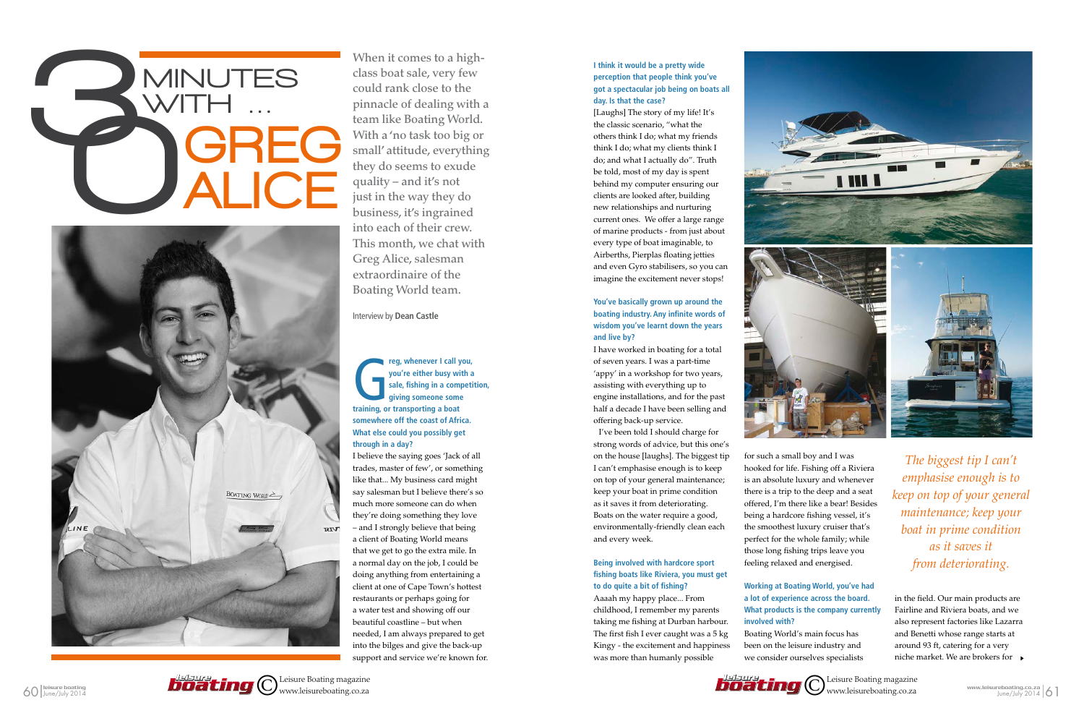When it comes to a highclass boat sale, very few could rank close to the pinnacle of dealing with a team like Boating World. With a 'no task too big or small' attitude, everything they do seems to exude quality – and it's not just in the way they do business, it's ingrained into each of their crew. This month, we chat with Greg Alice, salesman extraordinaire of the Boating World team.

**the state of the state of the state of the state of the state of the state of the state of the state of the state of the state and the property continuity or transporting a boat**  $\frac{1}{2}$ **you're either busy with a sale, fishing in a competition, giving someone some somewhere off the coast of Africa. What else could you possibly get through in a day?**

Interview by **Dean Castle**

I believe the saying goes 'Jack of all trades, master of few', or something like that... My business card might say salesman but I believe there's so much more someone can do when they're doing something they love – and I strongly believe that being a client of Boating World means that we get to go the extra mile. In a normal day on the job, I could be doing anything from entertaining a client at one of Cape Town's hottest restaurants or perhaps going for a water test and showing off our beautiful coastline – but when needed, I am always prepared to get into the bilges and give the back-up support and service we're known for.

### **I think it would be a pretty wide perception that people think you've got a spectacular job being on boats all day. Is that the case?**

[Laughs] The story of my life! It's the classic scenario, "what the others think I do; what my friends think I do; what my clients think I do; and what I actually do". Truth be told, most of my day is spent behind my computer ensuring our clients are looked after, building new relationships and nurturing current ones. We offer a large range of marine products - from just about every type of boat imaginable, to Airberths, Pierplas floating jetties and even Gyro stabilisers, so you can imagine the excitement never stops!

# MINUTES **CONSCREGE** ALICE 3



#### **You've basically grown up around the boating industry. Any infinite words of wisdom you've learnt down the years and live by?**

I have worked in boating for a total of seven years. I was a part-time 'appy' in a workshop for two years, assisting with everything up to engine installations, and for the past half a decade I have been selling and offering back-up service.

I've been told I should charge for strong words of advice, but this one's on the house [laughs]. The biggest tip I can't emphasise enough is to keep on top of your general maintenance; keep your boat in prime condition as it saves it from deteriorating. Boats on the water require a good, environmentally-friendly clean each and every week.

#### **Being involved with hardcore sport fishing boats like Riviera, you must get to do quite a bit of fishing?**

Aaaah my happy place... From childhood, I remember my parents taking me fishing at Durban harbour. The first fish I ever caught was a 5 kg Kingy - the excitement and happiness was more than humanly possible



for such a small boy and I was hooked for life. Fishing off a Riviera is an absolute luxury and whenever there is a trip to the deep and a seat offered, I'm there like a bear! Besides being a hardcore fishing vessel, it's the smoothest luxury cruiser that's perfect for the whole family; while those long fishing trips leave you feeling relaxed and energised.

#### **Working at Boating World, you've had a lot of experience across the board. What products is the company currently involved with?**

Boating World's main focus has been on the leisure industry and we consider ourselves specialists in the field. Our main products are Fairline and Riviera boats, and we also represent factories like Lazarra and Benetti whose range starts at around 93 ft, catering for a very niche market. We are brokers for

*The biggest tip I can't emphasise enough is to keep on top of your general maintenance; keep your boat in prime condition as it saves it from deteriorating.*